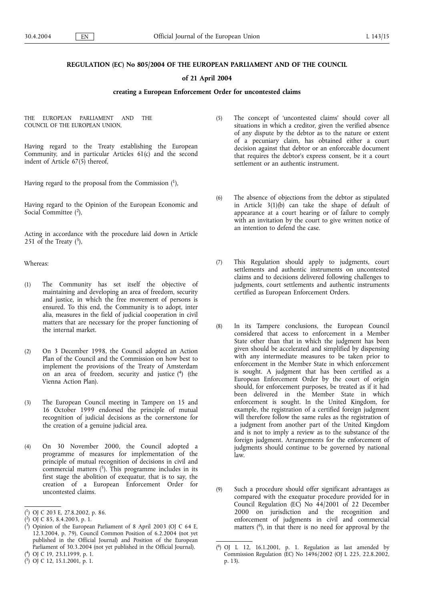## **REGULATION (EC) No 805/2004 OF THE EUROPEAN PARLIAMENT AND OF THE COUNCIL**

#### **of 21 April 2004**

#### **creating a European Enforcement Order for uncontested claims**

THE EUROPEAN PARLIAMENT AND THE COUNCIL OF THE EUROPEAN UNION,

Having regard to the Treaty establishing the European Community, and in particular Articles 61(c) and the second indent of Article 67(5) thereof,

Having regard to the proposal from the Commission  $(1)$ ,

Having regard to the Opinion of the European Economic and Social Committee  $(2)$ ,

Acting in accordance with the procedure laid down in Article 251 of the Treaty  $(3)$ ,

Whereas:

- (1) The Community has set itself the objective of maintaining and developing an area of freedom, security and justice, in which the free movement of persons is ensured. To this end, the Community is to adopt, inter alia, measures in the field of judicial cooperation in civil matters that are necessary for the proper functioning of the internal market.
- (2) On 3 December 1998, the Council adopted an Action Plan of the Council and the Commission on how best to implement the provisions of the Treaty of Amsterdam on an area of freedom, security and justice (4 ) (the Vienna Action Plan).
- (3) The European Council meeting in Tampere on 15 and 16 October 1999 endorsed the principle of mutual recognition of judicial decisions as the cornerstone for the creation of a genuine judicial area.
- (4) On 30 November 2000, the Council adopted a programme of measures for implementation of the principle of mutual recognition of decisions in civil and commercial matters  $(5)$ . This programme includes in its first stage the abolition of exequatur, that is to say, the creation of a European Enforcement Order for uncontested claims.

( 5) OJ C 12, 15.1.2001, p. 1.

- (5) The concept of 'uncontested claims' should cover all situations in which a creditor, given the verified absence of any dispute by the debtor as to the nature or extent of a pecuniary claim, has obtained either a court decision against that debtor or an enforceable document that requires the debtor's express consent, be it a court settlement or an authentic instrument.
- (6) The absence of objections from the debtor as stipulated in Article 3(1)(b) can take the shape of default of appearance at a court hearing or of failure to comply with an invitation by the court to give written notice of an intention to defend the case.
- (7) This Regulation should apply to judgments, court settlements and authentic instruments on uncontested claims and to decisions delivered following challenges to judgments, court settlements and authentic instruments certified as European Enforcement Orders.
- (8) In its Tampere conclusions, the European Council considered that access to enforcement in a Member State other than that in which the judgment has been given should be accelerated and simplified by dispensing with any intermediate measures to be taken prior to enforcement in the Member State in which enforcement is sought. A judgment that has been certified as a European Enforcement Order by the court of origin should, for enforcement purposes, be treated as if it had been delivered in the Member State in which enforcement is sought. In the United Kingdom, for example, the registration of a certified foreign judgment will therefore follow the same rules as the registration of a judgment from another part of the United Kingdom and is not to imply a review as to the substance of the foreign judgment. Arrangements for the enforcement of judgments should continue to be governed by national law.
- (9) Such a procedure should offer significant advantages as compared with the exequatur procedure provided for in Council Regulation (EC) No 44/2001 of 22 December 2000 on jurisdiction and the recognition and enforcement of judgments in civil and commercial matters  $(6)$ , in that there is no need for approval by the

<sup>(</sup> 1) OJ C 203 E, 27.8.2002, p. 86.

<sup>(</sup> 2) OJ C 85, 8.4.2003, p. 1.

<sup>(</sup> 3) Opinion of the European Parliament of 8 April 2003 (OJ C 64 E, 12.3.2004, p. 79), Council Common Position of 6.2.2004 (not yet published in the Official Journal) and Position of the European Parliament of 30.3.2004 (not yet published in the Official Journal).

<sup>(</sup> 4) OJ C 19, 23.1.1999, p. 1.

<sup>(</sup> 6) OJ L 12, 16.1.2001, p. 1. Regulation as last amended by Commission Regulation (EC) No 1496/2002 (OJ L 225, 22.8.2002, p. 13).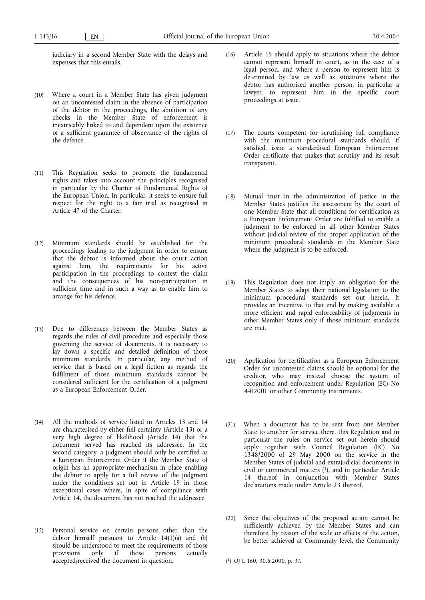judiciary in a second Member State with the delays and expenses that this entails.

- (10) Where a court in a Member State has given judgment on an uncontested claim in the absence of participation of the debtor in the proceedings, the abolition of any checks in the Member State of enforcement is inextricably linked to and dependent upon the existence of a sufficient guarantee of observance of the rights of the defence.
- (11) This Regulation seeks to promote the fundamental rights and takes into account the principles recognised in particular by the Charter of Fundamental Rights of the European Union. In particular, it seeks to ensure full respect for the right to a fair trial as recognised in Article 47 of the Charter.
- (12) Minimum standards should be established for the proceedings leading to the judgment in order to ensure that the debtor is informed about the court action against him, the requirements for his active participation in the proceedings to contest the claim and the consequences of his non-participation in sufficient time and in such a way as to enable him to arrange for his defence.
- (13) Due to differences between the Member States as regards the rules of civil procedure and especially those governing the service of documents, it is necessary to lay down a specific and detailed definition of those minimum standards. In particular, any method of service that is based on a legal fiction as regards the fulfilment of those minimum standards cannot be considered sufficient for the certification of a judgment as a European Enforcement Order.
- (14) All the methods of service listed in Articles 13 and 14 are characterised by either full certainty (Article 13) or a very high degree of likelihood (Article 14) that the document served has reached its addressee. In the second category, a judgment should only be certified as a European Enforcement Order if the Member State of origin has an appropriate mechanism in place enabling the debtor to apply for a full review of the judgment under the conditions set out in Article 19 in those exceptional cases where, in spite of compliance with Article 14, the document has not reached the addressee.
- (15) Personal service on certain persons other than the debtor himself pursuant to Article  $14(1)(a)$  and (b) should be understood to meet the requirements of those provisions only if those persons actually accepted/received the document in question.
- (16) Article 15 should apply to situations where the debtor cannot represent himself in court, as in the case of a legal person, and where a person to represent him is determined by law as well as situations where the debtor has authorised another person, in particular a lawyer, to represent him in the specific court proceedings at issue.
- (17) The courts competent for scrutinising full compliance with the minimum procedural standards should, if satisfied, issue a standardised European Enforcement Order certificate that makes that scrutiny and its result transparent.
- (18) Mutual trust in the administration of justice in the Member States justifies the assessment by the court of one Member State that all conditions for certification as a European Enforcement Order are fulfilled to enable a judgment to be enforced in all other Member States without judicial review of the proper application of the minimum procedural standards in the Member State where the judgment is to be enforced.
- (19) This Regulation does not imply an obligation for the Member States to adapt their national legislation to the minimum procedural standards set out herein. It provides an incentive to that end by making available a more efficient and rapid enforceability of judgments in other Member States only if those minimum standards are met.
- (20) Application for certification as a European Enforcement Order for uncontested claims should be optional for the creditor, who may instead choose the system of recognition and enforcement under Regulation (EC) No 44/2001 or other Community instruments.
- (21) When a document has to be sent from one Member State to another for service there, this Regulation and in particular the rules on service set out herein should apply together with Council Regulation (EC) No 1348/2000 of 29 May 2000 on the service in the Member States of judicial and extrajudicial documents in civil or commercial matters  $(1)$ , and in particular Article 14 thereof in conjunction with Member States declarations made under Article 23 thereof.
- (22) Since the objectives of the proposed action cannot be sufficiently achieved by the Member States and can therefore, by reason of the scale or effects of the action, be better achieved at Community level, the Community

<sup>(</sup> 1) OJ L 160, 30.6.2000, p. 37.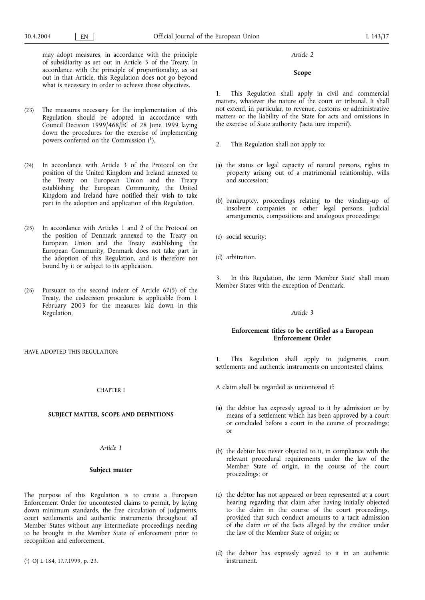may adopt measures, in accordance with the principle of subsidiarity as set out in Article 5 of the Treaty. In accordance with the principle of proportionality, as set out in that Article, this Regulation does not go beyond what is necessary in order to achieve those objectives.

- (23) The measures necessary for the implementation of this Regulation should be adopted in accordance with Council Decision 1999/468/EC of 28 June 1999 laying down the procedures for the exercise of implementing powers conferred on the Commission (1).
- (24) In accordance with Article 3 of the Protocol on the position of the United Kingdom and Ireland annexed to the Treaty on European Union and the Treaty establishing the European Community, the United Kingdom and Ireland have notified their wish to take part in the adoption and application of this Regulation.
- (25) In accordance with Articles 1 and 2 of the Protocol on the position of Denmark annexed to the Treaty on European Union and the Treaty establishing the European Community, Denmark does not take part in the adoption of this Regulation, and is therefore not bound by it or subject to its application.
- (26) Pursuant to the second indent of Article 67(5) of the Treaty, the codecision procedure is applicable from 1 February 2003 for the measures laid down in this Regulation,

HAVE ADOPTED THIS REGULATION:

#### CHAPTER I

#### **SUBJECT MATTER, SCOPE AND DEFINITIONS**

*Article 1*

#### **Subject matter**

The purpose of this Regulation is to create a European Enforcement Order for uncontested claims to permit, by laying down minimum standards, the free circulation of judgments, court settlements and authentic instruments throughout all Member States without any intermediate proceedings needing to be brought in the Member State of enforcement prior to recognition and enforcement.

#### *Article 2*

## **Scope**

1. This Regulation shall apply in civil and commercial matters, whatever the nature of the court or tribunal. It shall not extend, in particular, to revenue, customs or administrative matters or the liability of the State for acts and omissions in the exercise of State authority ('acta iure imperii').

- 2. This Regulation shall not apply to:
- (a) the status or legal capacity of natural persons, rights in property arising out of a matrimonial relationship, wills and succession;
- (b) bankruptcy, proceedings relating to the winding-up of insolvent companies or other legal persons, judicial arrangements, compositions and analogous proceedings;
- (c) social security;
- (d) arbitration.

3. In this Regulation, the term 'Member State' shall mean Member States with the exception of Denmark.

#### *Article 3*

## **Enforcement titles to be certified as a European Enforcement Order**

1. This Regulation shall apply to judgments, court settlements and authentic instruments on uncontested claims.

A claim shall be regarded as uncontested if:

- (a) the debtor has expressly agreed to it by admission or by means of a settlement which has been approved by a court or concluded before a court in the course of proceedings; or
- (b) the debtor has never objected to it, in compliance with the relevant procedural requirements under the law of the Member State of origin, in the course of the court proceedings; or
- (c) the debtor has not appeared or been represented at a court hearing regarding that claim after having initially objected to the claim in the course of the court proceedings, provided that such conduct amounts to a tacit admission of the claim or of the facts alleged by the creditor under the law of the Member State of origin; or
- (d) the debtor has expressly agreed to it in an authentic

<sup>(&</sup>lt;sup>1</sup>) OJ L 184, 17.7.1999, p. 23. instrument.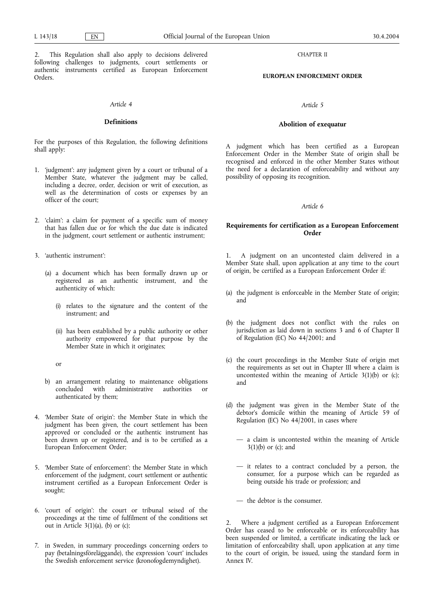This Regulation shall also apply to decisions delivered following challenges to judgments, court settlements or authentic instruments certified as European Enforcement Orders.

#### *Article 4*

#### **Definitions**

For the purposes of this Regulation, the following definitions shall apply:

- 1. 'judgment': any judgment given by a court or tribunal of a Member State, whatever the judgment may be called, including a decree, order, decision or writ of execution, as well as the determination of costs or expenses by an officer of the court;
- 2. 'claim': a claim for payment of a specific sum of money that has fallen due or for which the due date is indicated in the judgment, court settlement or authentic instrument;
- 3. 'authentic instrument':
	- (a) a document which has been formally drawn up or registered as an authentic instrument, and the authenticity of which:
		- (i) relates to the signature and the content of the instrument; and
		- (ii) has been established by a public authority or other authority empowered for that purpose by the Member State in which it originates;
		- or
	- b) an arrangement relating to maintenance obligations concluded with administrative authorities or authenticated by them;
- 4. 'Member State of origin': the Member State in which the judgment has been given, the court settlement has been approved or concluded or the authentic instrument has been drawn up or registered, and is to be certified as a European Enforcement Order;
- 5. 'Member State of enforcement': the Member State in which enforcement of the judgment, court settlement or authentic instrument certified as a European Enforcement Order is sought;
- 6. 'court of origin': the court or tribunal seised of the proceedings at the time of fulfilment of the conditions set out in Article  $3(1)(a)$ , (b) or (c);
- 7. in Sweden, in summary proceedings concerning orders to pay (betalningsföreläggande), the expression 'court' includes the Swedish enforcement service (kronofogdemyndighet).

CHAPTER II

### **EUROPEAN ENFORCEMENT ORDER**

#### *Article 5*

## **Abolition of exequatur**

A judgment which has been certified as a European Enforcement Order in the Member State of origin shall be recognised and enforced in the other Member States without the need for a declaration of enforceability and without any possibility of opposing its recognition.

#### *Article 6*

#### **Requirements for certification as a European Enforcement Order**

1. A judgment on an uncontested claim delivered in a Member State shall, upon application at any time to the court of origin, be certified as a European Enforcement Order if:

- (a) the judgment is enforceable in the Member State of origin; and
- (b) the judgment does not conflict with the rules on jurisdiction as laid down in sections 3 and 6 of Chapter II of Regulation (EC) No 44/2001; and
- (c) the court proceedings in the Member State of origin met the requirements as set out in Chapter III where a claim is uncontested within the meaning of Article 3(1)(b) or (c); and
- (d) the judgment was given in the Member State of the debtor's domicile within the meaning of Article 59 of Regulation (EC) No 44/2001, in cases where
	- a claim is uncontested within the meaning of Article  $3(1)(b)$  or (c); and
	- it relates to a contract concluded by a person, the consumer, for a purpose which can be regarded as being outside his trade or profession; and

— the debtor is the consumer.

2. Where a judgment certified as a European Enforcement Order has ceased to be enforceable or its enforceability has been suspended or limited, a certificate indicating the lack or limitation of enforceability shall, upon application at any time to the court of origin, be issued, using the standard form in Annex IV.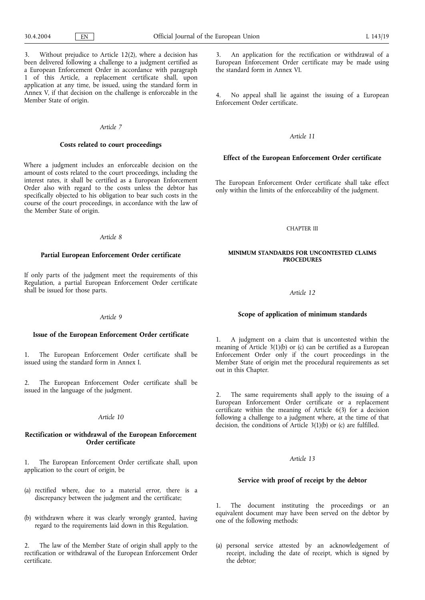3. Without prejudice to Article 12(2), where a decision has been delivered following a challenge to a judgment certified as a European Enforcement Order in accordance with paragraph 1 of this Article, a replacement certificate shall, upon application at any time, be issued, using the standard form in Annex V, if that decision on the challenge is enforceable in the Member State of origin.

#### *Article 7*

#### **Costs related to court proceedings**

Where a judgment includes an enforceable decision on the amount of costs related to the court proceedings, including the interest rates, it shall be certified as a European Enforcement Order also with regard to the costs unless the debtor has specifically objected to his obligation to bear such costs in the course of the court proceedings, in accordance with the law of the Member State of origin.

## *Article 8*

#### **Partial European Enforcement Order certificate**

If only parts of the judgment meet the requirements of this Regulation, a partial European Enforcement Order certificate shall be issued for those parts.

#### *Article 9*

#### **Issue of the European Enforcement Order certificate**

1. The European Enforcement Order certificate shall be issued using the standard form in Annex I.

2. The European Enforcement Order certificate shall be issued in the language of the judgment.

#### *Article 10*

#### **Rectification or withdrawal of the European Enforcement Order certificate**

The European Enforcement Order certificate shall, upon application to the court of origin, be

- (a) rectified where, due to a material error, there is a discrepancy between the judgment and the certificate;
- (b) withdrawn where it was clearly wrongly granted, having regard to the requirements laid down in this Regulation.

2. The law of the Member State of origin shall apply to the rectification or withdrawal of the European Enforcement Order certificate.

An application for the rectification or withdrawal of a European Enforcement Order certificate may be made using the standard form in Annex VI.

No appeal shall lie against the issuing of a European Enforcement Order certificate.

#### *Article 11*

#### **Effect of the European Enforcement Order certificate**

The European Enforcement Order certificate shall take effect only within the limits of the enforceability of the judgment.

#### CHAPTER III

#### **MINIMUM STANDARDS FOR UNCONTESTED CLAIMS PROCEDURES**

*Article 12*

## **Scope of application of minimum standards**

1. A judgment on a claim that is uncontested within the meaning of Article 3(1)(b) or (c) can be certified as a European Enforcement Order only if the court proceedings in the Member State of origin met the procedural requirements as set out in this Chapter.

The same requirements shall apply to the issuing of a European Enforcement Order certificate or a replacement certificate within the meaning of Article 6(3) for a decision following a challenge to a judgment where, at the time of that decision, the conditions of Article 3(1)(b) or (c) are fulfilled.

#### *Article 13*

#### **Service with proof of receipt by the debtor**

1. The document instituting the proceedings or an equivalent document may have been served on the debtor by one of the following methods:

(a) personal service attested by an acknowledgement of receipt, including the date of receipt, which is signed by the debtor;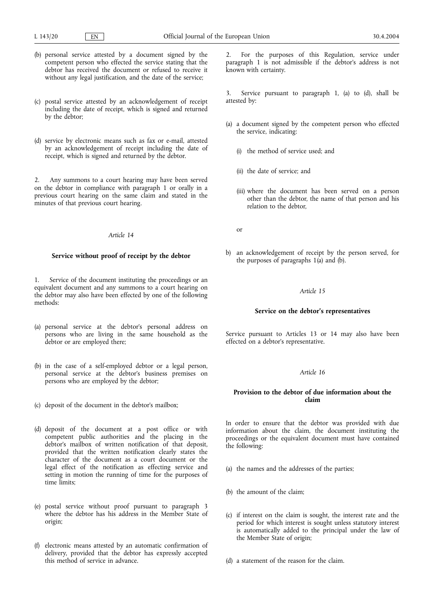- (b) personal service attested by a document signed by the competent person who effected the service stating that the debtor has received the document or refused to receive it without any legal justification, and the date of the service;
- (c) postal service attested by an acknowledgement of receipt including the date of receipt, which is signed and returned by the debtor;
- (d) service by electronic means such as fax or e-mail, attested by an acknowledgement of receipt including the date of receipt, which is signed and returned by the debtor.

2. Any summons to a court hearing may have been served on the debtor in compliance with paragraph 1 or orally in a previous court hearing on the same claim and stated in the minutes of that previous court hearing.

#### *Article 14*

#### **Service without proof of receipt by the debtor**

1. Service of the document instituting the proceedings or an equivalent document and any summons to a court hearing on the debtor may also have been effected by one of the following methods:

- (a) personal service at the debtor's personal address on persons who are living in the same household as the debtor or are employed there;
- (b) in the case of a self-employed debtor or a legal person, personal service at the debtor's business premises on persons who are employed by the debtor;
- (c) deposit of the document in the debtor's mailbox;
- (d) deposit of the document at a post office or with competent public authorities and the placing in the debtor's mailbox of written notification of that deposit, provided that the written notification clearly states the character of the document as a court document or the legal effect of the notification as effecting service and setting in motion the running of time for the purposes of time limits;
- (e) postal service without proof pursuant to paragraph 3 where the debtor has his address in the Member State of origin;
- (f) electronic means attested by an automatic confirmation of delivery, provided that the debtor has expressly accepted this method of service in advance.

2. For the purposes of this Regulation, service under paragraph 1 is not admissible if the debtor's address is not known with certainty.

3. Service pursuant to paragraph 1, (a) to (d), shall be attested by:

- (a) a document signed by the competent person who effected the service, indicating:
	- (i) the method of service used; and
	- (ii) the date of service; and
	- (iii) where the document has been served on a person other than the debtor, the name of that person and his relation to the debtor,

or

b) an acknowledgement of receipt by the person served, for the purposes of paragraphs  $1(a)$  and  $(b)$ .

#### *Article 15*

#### **Service on the debtor's representatives**

Service pursuant to Articles 13 or 14 may also have been effected on a debtor's representative.

### *Article 16*

#### **Provision to the debtor of due information about the claim**

In order to ensure that the debtor was provided with due information about the claim, the document instituting the proceedings or the equivalent document must have contained the following:

- (a) the names and the addresses of the parties;
- (b) the amount of the claim;
- (c) if interest on the claim is sought, the interest rate and the period for which interest is sought unless statutory interest is automatically added to the principal under the law of the Member State of origin;

(d) a statement of the reason for the claim.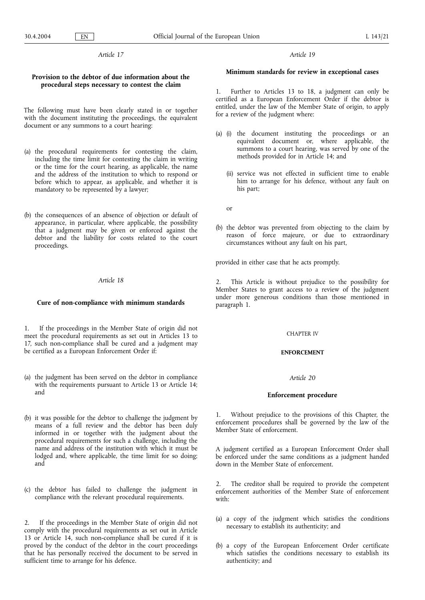*Article 17*

## **Provision to the debtor of due information about the procedural steps necessary to contest the claim**

The following must have been clearly stated in or together with the document instituting the proceedings, the equivalent document or any summons to a court hearing:

- (a) the procedural requirements for contesting the claim, including the time limit for contesting the claim in writing or the time for the court hearing, as applicable, the name and the address of the institution to which to respond or before which to appear, as applicable, and whether it is mandatory to be represented by a lawyer;
- (b) the consequences of an absence of objection or default of appearance, in particular, where applicable, the possibility that a judgment may be given or enforced against the debtor and the liability for costs related to the court proceedings.

#### *Article 18*

#### **Cure of non-compliance with minimum standards**

1. If the proceedings in the Member State of origin did not meet the procedural requirements as set out in Articles 13 to 17, such non-compliance shall be cured and a judgment may be certified as a European Enforcement Order if:

- (a) the judgment has been served on the debtor in compliance with the requirements pursuant to Article 13 or Article 14; and
- (b) it was possible for the debtor to challenge the judgment by means of a full review and the debtor has been duly informed in or together with the judgment about the procedural requirements for such a challenge, including the name and address of the institution with which it must be lodged and, where applicable, the time limit for so doing; and
- (c) the debtor has failed to challenge the judgment in compliance with the relevant procedural requirements.

2. If the proceedings in the Member State of origin did not comply with the procedural requirements as set out in Article 13 or Article 14, such non-compliance shall be cured if it is proved by the conduct of the debtor in the court proceedings that he has personally received the document to be served in sufficient time to arrange for his defence.

*Article 19*

#### **Minimum standards for review in exceptional cases**

1. Further to Articles 13 to 18, a judgment can only be certified as a European Enforcement Order if the debtor is entitled, under the law of the Member State of origin, to apply for a review of the judgment where:

- (a) (i) the document instituting the proceedings or an equivalent document or, where applicable, the summons to a court hearing, was served by one of the methods provided for in Article 14; and
	- (ii) service was not effected in sufficient time to enable him to arrange for his defence, without any fault on his part;

or

(b) the debtor was prevented from objecting to the claim by reason of force majeure, or due to extraordinary circumstances without any fault on his part,

provided in either case that he acts promptly.

This Article is without prejudice to the possibility for Member States to grant access to a review of the judgment under more generous conditions than those mentioned in paragraph 1.

#### CHAPTER IV

#### **ENFORCEMENT**

#### *Article 20*

#### **Enforcement procedure**

1. Without prejudice to the provisions of this Chapter, the enforcement procedures shall be governed by the law of the Member State of enforcement.

A judgment certified as a European Enforcement Order shall be enforced under the same conditions as a judgment handed down in the Member State of enforcement.

2. The creditor shall be required to provide the competent enforcement authorities of the Member State of enforcement with:

- (a) a copy of the judgment which satisfies the conditions necessary to establish its authenticity; and
- (b) a copy of the European Enforcement Order certificate which satisfies the conditions necessary to establish its authenticity; and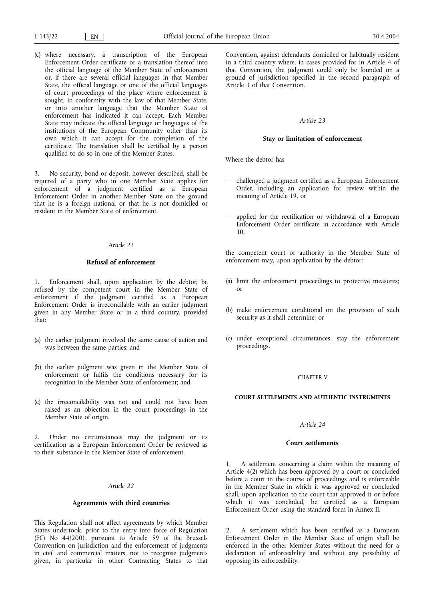(c) where necessary, a transcription of the European Enforcement Order certificate or a translation thereof into the official language of the Member State of enforcement or, if there are several official languages in that Member State, the official language or one of the official languages of court proceedings of the place where enforcement is sought, in conformity with the law of that Member State, or into another language that the Member State of enforcement has indicated it can accept. Each Member State may indicate the official language or languages of the institutions of the European Community other than its own which it can accept for the completion of the certificate. The translation shall be certified by a person qualified to do so in one of the Member States.

No security, bond or deposit, however described, shall be required of a party who in one Member State applies for enforcement of a judgment certified as a European Enforcement Order in another Member State on the ground that he is a foreign national or that he is not domiciled or resident in the Member State of enforcement.

## *Article 21*

#### **Refusal of enforcement**

Enforcement shall, upon application by the debtor, be refused by the competent court in the Member State of enforcement if the judgment certified as a European Enforcement Order is irreconcilable with an earlier judgment given in any Member State or in a third country, provided that:

- (a) the earlier judgment involved the same cause of action and was between the same parties; and
- (b) the earlier judgment was given in the Member State of enforcement or fulfils the conditions necessary for its recognition in the Member State of enforcement; and
- (c) the irreconcilability was not and could not have been raised as an objection in the court proceedings in the Member State of origin.

2. Under no circumstances may the judgment or its certification as a European Enforcement Order be reviewed as to their substance in the Member State of enforcement.

#### *Article 22*

#### **Agreements with third countries**

This Regulation shall not affect agreements by which Member States undertook, prior to the entry into force of Regulation (EC) No 44/2001, pursuant to Article 59 of the Brussels Convention on jurisdiction and the enforcement of judgments in civil and commercial matters, not to recognise judgments given, in particular in other Contracting States to that

Convention, against defendants domiciled or habitually resident in a third country where, in cases provided for in Article 4 of that Convention, the judgment could only be founded on a ground of jurisdiction specified in the second paragraph of Article 3 of that Convention.

#### *Article 23*

#### **Stay or limitation of enforcement**

Where the debtor has

- challenged a judgment certified as a European Enforcement Order, including an application for review within the meaning of Article 19, or
- applied for the rectification or withdrawal of a European Enforcement Order certificate in accordance with Article 10,

the competent court or authority in the Member State of enforcement may, upon application by the debtor:

- (a) limit the enforcement proceedings to protective measures; or
- (b) make enforcement conditional on the provision of such security as it shall determine; or
- (c) under exceptional circumstances, stay the enforcement proceedings.

#### CHAPTER V

#### **COURT SETTLEMENTS AND AUTHENTIC INSTRUMENTS**

## *Article 24*

#### **Court settlements**

1. A settlement concerning a claim within the meaning of Article 4(2) which has been approved by a court or concluded before a court in the course of proceedings and is enforceable in the Member State in which it was approved or concluded shall, upon application to the court that approved it or before which it was concluded, be certified as a European Enforcement Order using the standard form in Annex II.

2. A settlement which has been certified as a European Enforcement Order in the Member State of origin shall be enforced in the other Member States without the need for a declaration of enforceability and without any possibility of opposing its enforceability.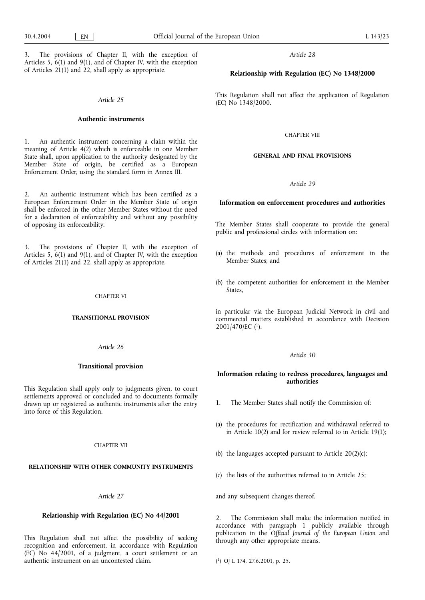The provisions of Chapter II, with the exception of Articles 5,  $6(1)$  and 9(1), and of Chapter IV, with the exception of Articles 21(1) and 22, shall apply as appropriate.

#### *Article 25*

### **Authentic instruments**

1. An authentic instrument concerning a claim within the meaning of Article 4(2) which is enforceable in one Member State shall, upon application to the authority designated by the Member State of origin, be certified as a European Enforcement Order, using the standard form in Annex III.

2. An authentic instrument which has been certified as a European Enforcement Order in the Member State of origin shall be enforced in the other Member States without the need for a declaration of enforceability and without any possibility of opposing its enforceability.

The provisions of Chapter II, with the exception of Articles 5,  $6(1)$  and 9(1), and  $6f$  Chapter IV, with the exception of Articles 21(1) and 22, shall apply as appropriate.

#### CHAPTER VI

#### **TRANSITIONAL PROVISION**

#### *Article 26*

#### **Transitional provision**

This Regulation shall apply only to judgments given, to court settlements approved or concluded and to documents formally drawn up or registered as authentic instruments after the entry into force of this Regulation.

#### CHAPTER VII

#### **RELATIONSHIP WITH OTHER COMMUNITY INSTRUMENTS**

*Article 27*

#### **Relationship with Regulation (EC) No 44/2001**

This Regulation shall not affect the possibility of seeking recognition and enforcement, in accordance with Regulation (EC) No 44/2001, of a judgment, a court settlement or an authentic instrument on an uncontested claim.

*Article 28*

#### **Relationship with Regulation (EC) No 1348/2000**

This Regulation shall not affect the application of Regulation (EC) No 1348/2000.

#### CHAPTER VIII

#### **GENERAL AND FINAL PROVISIONS**

#### *Article 29*

#### **Information on enforcement procedures and authorities**

The Member States shall cooperate to provide the general public and professional circles with information on:

- (a) the methods and procedures of enforcement in the Member States; and
- (b) the competent authorities for enforcement in the Member States,

in particular via the European Judicial Network in civil and commercial matters established in accordance with Decision 2001/470/EC (1).

## *Article 30*

### **Information relating to redress procedures, languages and authorities**

- 1. The Member States shall notify the Commission of:
- (a) the procedures for rectification and withdrawal referred to in Article 10(2) and for review referred to in Article 19(1);
- (b) the languages accepted pursuant to Article  $20(2)(c)$ ;
- (c) the lists of the authorities referred to in Article 25;

and any subsequent changes thereof.

2. The Commission shall make the information notified in accordance with paragraph 1 publicly available through publication in the *Official Journal of the European Union* and through any other appropriate means.

<sup>(</sup> 1) OJ L 174, 27.6.2001, p. 25.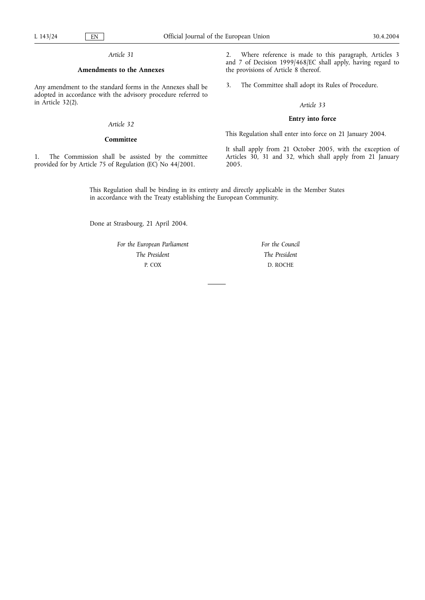#### *Article 31*

#### **Amendments to the Annexes**

Any amendment to the standard forms in the Annexes shall be adopted in accordance with the advisory procedure referred to in Article 32(2).

### *Article 32*

#### **Committee**

1. The Commission shall be assisted by the committee provided for by Article 75 of Regulation (EC) No 44/2001.

2. Where reference is made to this paragraph, Articles 3 and 7 of Decision 1999/468/EC shall apply, having regard to the provisions of Article 8 thereof.

3. The Committee shall adopt its Rules of Procedure.

### *Article 33*

### **Entry into force**

This Regulation shall enter into force on 21 January 2004.

It shall apply from 21 October 2005, with the exception of Articles 30, 31 and 32, which shall apply from 21 January 2005.

This Regulation shall be binding in its entirety and directly applicable in the Member States in accordance with the Treaty establishing the European Community.

Done at Strasbourg, 21 April 2004.

*For the European Parliament The President* P. COX

*For the Council The President* D. ROCHE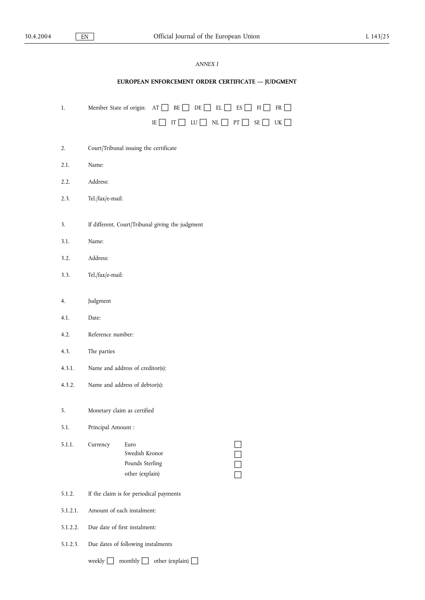## *ANNEX I*

# **EUROPEAN ENFORCEMENT ORDER CERTIFICATE — JUDGMENT**

| 1.       | Member State of origin:<br>AT<br>BE<br>DE [<br>EL<br>ES<br>$FR$ $\Box$<br>$\mathbf{F}$ |
|----------|----------------------------------------------------------------------------------------|
|          | LU<br>NL<br>PT<br>SE<br>UK<br>IE<br>IT<br>$\perp$<br>$\blacksquare$                    |
|          |                                                                                        |
| 2.       | Court/Tribunal issuing the certificate                                                 |
| 2.1.     | Name:                                                                                  |
| 2.2.     | Address:                                                                               |
| 2.3.     | Tel./fax/e-mail:                                                                       |
|          |                                                                                        |
| 3.       | If different, Court/Tribunal giving the judgment                                       |
| 3.1.     | Name:                                                                                  |
| 3.2.     | Address:                                                                               |
| 3.3.     | Tel./fax/e-mail:                                                                       |
|          |                                                                                        |
| 4.       | Judgment                                                                               |
| 4.1.     | Date:                                                                                  |
| 4.2.     | Reference number:                                                                      |
| 4.3.     | The parties                                                                            |
| 4.3.1.   | Name and address of creditor(s):                                                       |
| 4.3.2.   | Name and address of debtor(s):                                                         |
|          |                                                                                        |
| 5.       | Monetary claim as certified                                                            |
| 5.1.     | Principal Amount :                                                                     |
| 5.1.1.   | Currency<br>Euro                                                                       |
|          | Swedish Kronor                                                                         |
|          | Pounds Sterling                                                                        |
|          | other (explain)                                                                        |
| 5.1.2.   | If the claim is for periodical payments                                                |
| 5.1.2.1. | Amount of each instalment:                                                             |
| 5.1.2.2. | Due date of first instalment:                                                          |
| 5.1.2.3. | Due dates of following instalments                                                     |
|          | weekly<br>other (explain) [<br>monthly                                                 |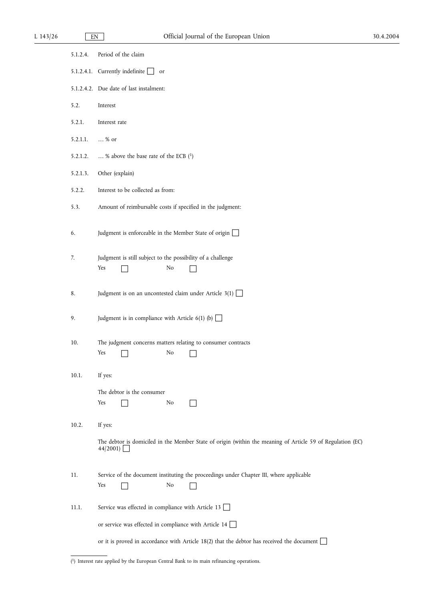| 5.1.2.4. | Period of the claim                                                                                                   |
|----------|-----------------------------------------------------------------------------------------------------------------------|
|          | 5.1.2.4.1. Currently indefinite [<br>or                                                                               |
|          | 5.1.2.4.2. Due date of last instalment:                                                                               |
| 5.2.     | Interest                                                                                                              |
| 5.2.1.   | Interest rate                                                                                                         |
| 5.2.1.1. | % or                                                                                                                  |
| 5.2.1.2. | % above the base rate of the ECB $(^1)$                                                                               |
| 5.2.1.3. | Other (explain)                                                                                                       |
| 5.2.2.   | Interest to be collected as from:                                                                                     |
| 5.3.     | Amount of reimbursable costs if specified in the judgment:                                                            |
| 6.       | Judgment is enforceable in the Member State of origin $\Box$                                                          |
| 7.       | Judgment is still subject to the possibility of a challenge<br>Yes<br>No                                              |
| 8.       | Judgment is on an uncontested claim under Article $3(1)$                                                              |
| 9.       | Judgment is in compliance with Article 6(1) (b) $\Box$                                                                |
| 10.      | The judgment concerns matters relating to consumer contracts<br>Yes<br>No                                             |
| 10.1.    | If yes:                                                                                                               |
|          | The debtor is the consumer<br>Yes<br>No                                                                               |
| 10.2.    | If yes:                                                                                                               |
|          | The debtor is domiciled in the Member State of origin (within the meaning of Article 59 of Regulation (EC)<br>44/2001 |
| 11.      | Service of the document instituting the proceedings under Chapter III, where applicable<br>No<br>Yes                  |
| 11.1.    | Service was effected in compliance with Article 13                                                                    |
|          | or service was effected in compliance with Article 14 $\Box$                                                          |
|          | or it is proved in accordance with Article 18(2) that the debtor has received the document [                          |

<sup>(</sup> 1) Interest rate applied by the European Central Bank to its main refinancing operations.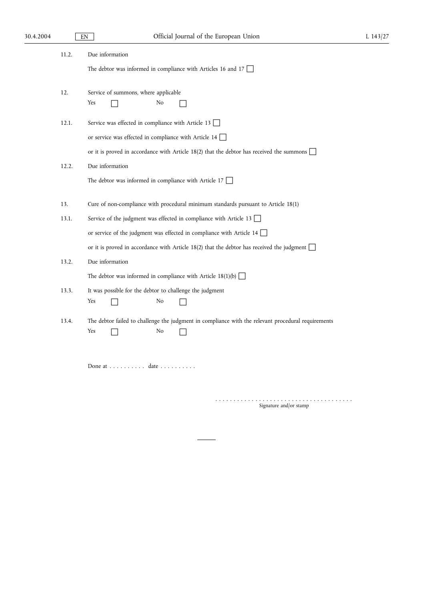| 11.2. | Due information                                                                                     |
|-------|-----------------------------------------------------------------------------------------------------|
|       | The debtor was informed in compliance with Articles 16 and 17 $\Box$                                |
| 12.   | Service of summons, where applicable<br>Yes<br>No                                                   |
| 12.1. | Service was effected in compliance with Article 13                                                  |
|       | or service was effected in compliance with Article 14 $\Box$                                        |
|       | or it is proved in accordance with Article 18(2) that the debtor has received the summons $\Box$    |
| 12.2. | Due information                                                                                     |
|       | The debtor was informed in compliance with Article 17 $\Box$                                        |
| 13.   | Cure of non-compliance with procedural minimum standards pursuant to Article 18(1)                  |
| 13.1. | Service of the judgment was effected in compliance with Article 13 $\Box$                           |
|       | or service of the judgment was effected in compliance with Article 14 $\Box$                        |
|       | or it is proved in accordance with Article 18(2) that the debtor has received the judgment $\Box$   |
| 13.2. | Due information                                                                                     |
|       | The debtor was informed in compliance with Article $18(1)(b)$                                       |
| 13.3. | It was possible for the debtor to challenge the judgment                                            |
|       | Yes<br>No                                                                                           |
| 13.4. | The debtor failed to challenge the judgment in compliance with the relevant procedural requirements |
|       | Yes<br>No                                                                                           |
|       |                                                                                                     |
|       | Done at date                                                                                        |
|       |                                                                                                     |

...................................... Signature and/or stamp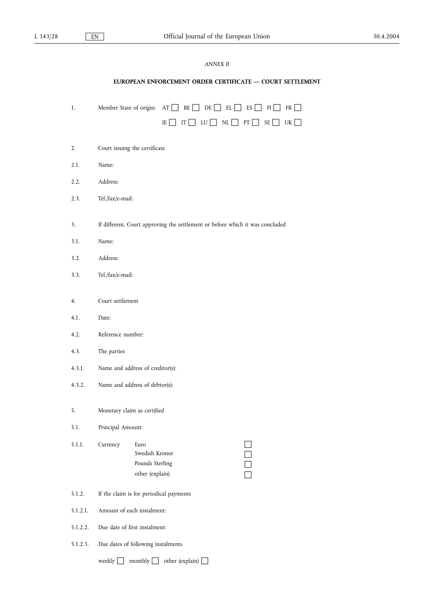## *ANNEX II*

## **EUROPEAN ENFORCEMENT ORDER CERTIFICATE — COURT SETTLEMENT**

| 1.       | Member State of origin:<br>BE [<br>DE<br>EL<br>ES<br>FI<br>FR<br>AT                               |  |  |  |  |
|----------|---------------------------------------------------------------------------------------------------|--|--|--|--|
|          | LU<br>NL<br>SE [<br>UK<br>IE [<br>IT<br>PT<br>$\mathbf{I}$<br>$\perp$<br>$\overline{\phantom{a}}$ |  |  |  |  |
|          |                                                                                                   |  |  |  |  |
| 2.       | Court issuing the certificate                                                                     |  |  |  |  |
| 2.1.     | Name:                                                                                             |  |  |  |  |
| 2.2.     | Address:                                                                                          |  |  |  |  |
| 2.3.     | Tel./fax/e-mail:                                                                                  |  |  |  |  |
|          |                                                                                                   |  |  |  |  |
| 3.       | If different, Court approving the settlement or before which it was concluded                     |  |  |  |  |
| 3.1.     | Name:                                                                                             |  |  |  |  |
| 3.2.     | Address:                                                                                          |  |  |  |  |
| 3.3.     | Tel./fax/e-mail:                                                                                  |  |  |  |  |
|          |                                                                                                   |  |  |  |  |
| 4.       | Court settlement                                                                                  |  |  |  |  |
| 4.1.     | Date:                                                                                             |  |  |  |  |
| 4.2.     | Reference number:                                                                                 |  |  |  |  |
| 4.3.     | The parties                                                                                       |  |  |  |  |
| 4.3.1.   | Name and address of creditor(s):                                                                  |  |  |  |  |
| 4.3.2.   | Name and address of debtor(s):                                                                    |  |  |  |  |
|          |                                                                                                   |  |  |  |  |
| 5.       | Monetary claim as certified                                                                       |  |  |  |  |
| 5.1.     | Principal Amount:                                                                                 |  |  |  |  |
| 5.1.1.   | Currency<br>Euro                                                                                  |  |  |  |  |
|          | Swedish Kronor                                                                                    |  |  |  |  |
|          | Pounds Sterling<br>other (explain)                                                                |  |  |  |  |
|          |                                                                                                   |  |  |  |  |
| 5.1.2.   | If the claim is for periodical payments                                                           |  |  |  |  |
| 5.1.2.1. | Amount of each instalment:                                                                        |  |  |  |  |
| 5.1.2.2. | Due date of first instalment:                                                                     |  |  |  |  |
| 5.1.2.3. | Due dates of following instalments                                                                |  |  |  |  |
|          | weekly [<br>other (explain) [<br>monthly [                                                        |  |  |  |  |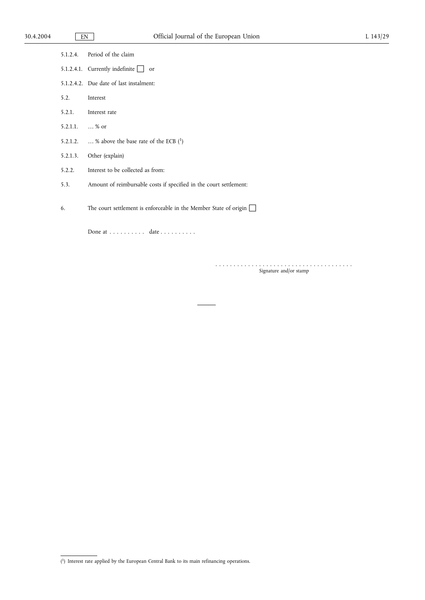| 5.1.2.4. | Period of the claim                                                                       |
|----------|-------------------------------------------------------------------------------------------|
|          | 5.1.2.4.1. Currently indefinite $\Box$<br>or                                              |
|          | 5.1.2.4.2. Due date of last instalment:                                                   |
| 5.2.     | Interest                                                                                  |
| 5.2.1.   | Interest rate                                                                             |
| 5.2.1.1. | % or                                                                                      |
| 5.2.1.2. | % above the base rate of the ECB $(1)$                                                    |
| 5.2.1.3. | Other (explain)                                                                           |
| 5.2.2.   | Interest to be collected as from:                                                         |
| 5.3.     | Amount of reimbursable costs if specified in the court settlement:                        |
| 6.       | The court settlement is enforceable in the Member State of origin $\lfloor \cdot \rfloor$ |
|          | Done at date                                                                              |
|          |                                                                                           |

...................................... Signature and/or stamp

( 1) Interest rate applied by the European Central Bank to its main refinancing operations.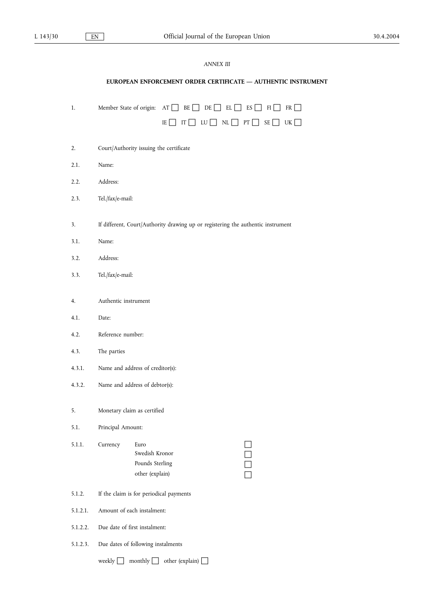## *ANNEX III*

## **EUROPEAN ENFORCEMENT ORDER CERTIFICATE — AUTHENTIC INSTRUMENT**

| 1.       | Member State of origin:<br>BE [<br>DE<br>EL<br>ES<br>FR<br>AT<br>FI              |  |  |
|----------|----------------------------------------------------------------------------------|--|--|
|          | LU<br>NL<br>PT<br>SE<br>UK [<br>$\rm IE$<br>IT                                   |  |  |
|          |                                                                                  |  |  |
| 2.       | Court/Authority issuing the certificate                                          |  |  |
| 2.1.     | Name:                                                                            |  |  |
| 2.2.     | Address:                                                                         |  |  |
| 2.3.     | Tel./fax/e-mail:                                                                 |  |  |
|          |                                                                                  |  |  |
| 3.       | If different, Court/Authority drawing up or registering the authentic instrument |  |  |
| 3.1.     | Name:                                                                            |  |  |
| 3.2.     | Address:                                                                         |  |  |
| 3.3.     | Tel./fax/e-mail:                                                                 |  |  |
|          |                                                                                  |  |  |
| 4.       | Authentic instrument                                                             |  |  |
| 4.1.     | Date:                                                                            |  |  |
| 4.2.     | Reference number:                                                                |  |  |
| 4.3.     | The parties                                                                      |  |  |
| 4.3.1.   | Name and address of creditor(s):                                                 |  |  |
| 4.3.2.   | Name and address of debtor(s):                                                   |  |  |
|          |                                                                                  |  |  |
| 5.       | Monetary claim as certified                                                      |  |  |
| 5.1.     | Principal Amount:                                                                |  |  |
| 5.1.1.   | Currency<br>Euro                                                                 |  |  |
|          | $\begin{array}{c} \square \\ \square \end{array}$<br>Swedish Kronor              |  |  |
|          | Pounds Sterling                                                                  |  |  |
|          | other (explain)                                                                  |  |  |
| 5.1.2.   | If the claim is for periodical payments                                          |  |  |
| 5.1.2.1. | Amount of each instalment:                                                       |  |  |
| 5.1.2.2. | Due date of first instalment:                                                    |  |  |
| 5.1.2.3. | Due dates of following instalments                                               |  |  |
|          | weekly<br>other (explain) [<br>monthly                                           |  |  |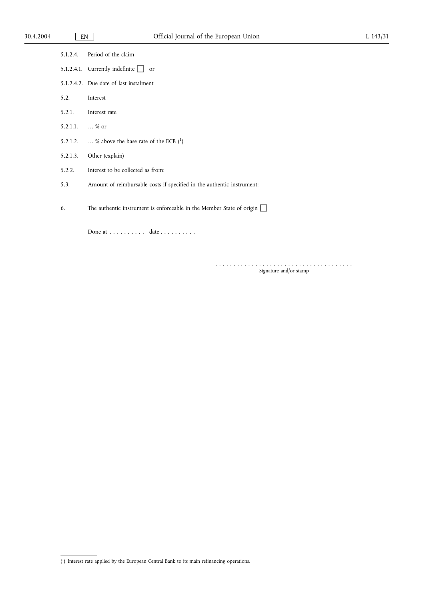| 5.1.2.4. | Period of the claim                                                    |
|----------|------------------------------------------------------------------------|
|          | 5.1.2.4.1. Currently indefinite $\Box$<br>or                           |
|          | 5.1.2.4.2. Due date of last instalment                                 |
| 5.2.     | Interest                                                               |
| 5.2.1.   | Interest rate                                                          |
| 5.2.1.1. | % or                                                                   |
| 5.2.1.2. | % above the base rate of the ECB $(1)$                                 |
| 5.2.1.3. | Other (explain)                                                        |
| 5.2.2.   | Interest to be collected as from:                                      |
| 5.3.     | Amount of reimbursable costs if specified in the authentic instrument: |
| 6.       | The authentic instrument is enforceable in the Member State of origin  |
|          | Done at date                                                           |
|          |                                                                        |

...................................... Signature and/or stamp

<sup>(</sup> 1) Interest rate applied by the European Central Bank to its main refinancing operations.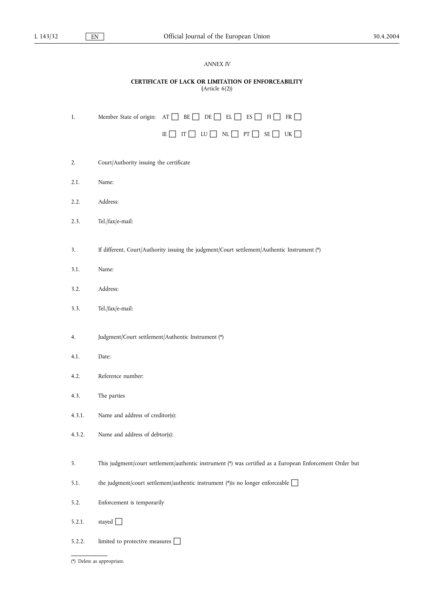## *ANNEX IV*

#### **CERTIFICATE OF LACK OR LIMITATION OF ENFORCEABILITY (**Article 6(2))

| $1.$   | Member State of origin:<br>BE<br>DE<br>ES<br>AT<br>EL<br>FI<br>$FR$ $\Box$                                |
|--------|-----------------------------------------------------------------------------------------------------------|
|        | IT $\Box$ LU $\Box$ NL $\Box$<br>PT<br>SE<br>$UK \Box$<br>IE                                              |
| 2.     | Court/Authority issuing the certificate                                                                   |
| 2.1.   | Name:                                                                                                     |
| 2.2.   | Address:                                                                                                  |
| 2.3.   | Tel./fax/e-mail:                                                                                          |
| 3.     | If different, Court/Authority issuing the judgment/Court settlement/Authentic Instrument (*)              |
| 3.1.   | Name:                                                                                                     |
| 3.2.   | Address:                                                                                                  |
| 3.3.   | Tel./fax/e-mail:                                                                                          |
| 4.     | Judgment/Court settlement/Authentic Instrument (*)                                                        |
| 4.1.   | Date:                                                                                                     |
| 4.2.   | Reference number:                                                                                         |
| 4.3.   | The parties                                                                                               |
| 4.3.1. | Name and address of creditor(s):                                                                          |
| 4.3.2. | Name and address of debtor(s):                                                                            |
| 5.     | This judgment/court settlement/authentic instrument (*) was certified as a European Enforcement Order but |
| 5.1.   | the judgment/court settlement/authentic instrument (*) is no longer enforceable [                         |
| 5.2.   | Enforcement is temporarily                                                                                |
| 5.2.1. | stayed $\Box$                                                                                             |
| 5.2.2. | limited to protective measures [                                                                          |

<sup>(\*)</sup> Delete as appropriate.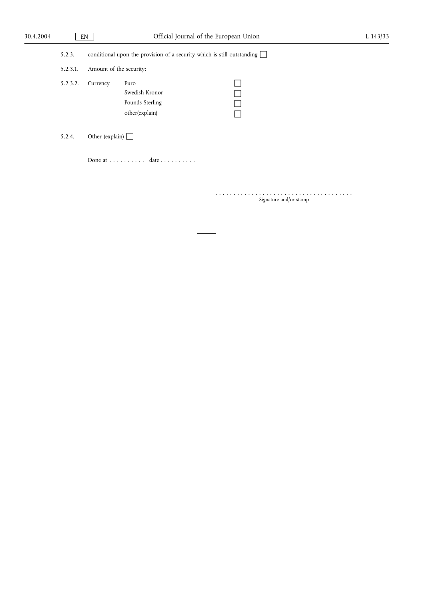| 5.2.3.   | conditional upon the provision of a security which is still outstanding $\Box$ |                                                             |  |  |  |
|----------|--------------------------------------------------------------------------------|-------------------------------------------------------------|--|--|--|
| 5.2.3.1. | Amount of the security:                                                        |                                                             |  |  |  |
| 5.2.3.2. | Currency                                                                       | Euro<br>Swedish Kronor<br>Pounds Sterling<br>other(explain) |  |  |  |
| 5.2.4.   | Other (explain) $\Box$                                                         |                                                             |  |  |  |
|          |                                                                                | Done at date                                                |  |  |  |
|          |                                                                                |                                                             |  |  |  |

Signature and/or stamp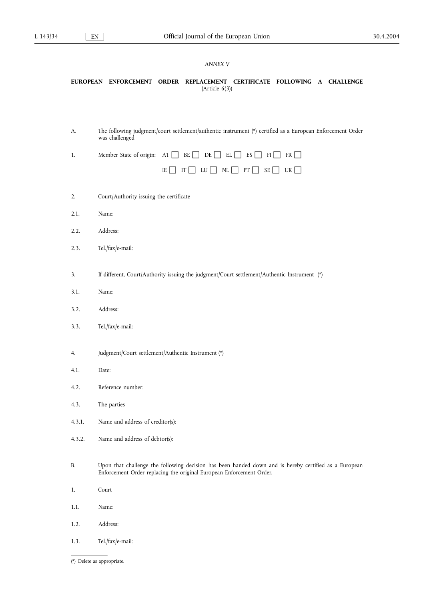#### *ANNEX V*

# **EUROPEAN ENFORCEMENT ORDER REPLACEMENT CERTIFICATE FOLLOWING A CHALLENGE** (Article 6(3))

A. The following judgment/court settlement/authentic instrument (\*) certified as a European Enforcement Order was challenged

|  | Member State of origin: $AT \Box BE \Box DE \Box EL \Box ES \Box FI \Box FR \Box$ |  |
|--|-----------------------------------------------------------------------------------|--|
|  | $E \Box T \Box LU \Box NL \Box PT \Box SE \Box UK \Box$                           |  |

- 2. Court/Authority issuing the certificate
- 2.1. Name:
- 2.2. Address:
- 2.3. Tel./fax/e-mail:
- 3. If different, Court/Authority issuing the judgment/Court settlement/Authentic Instrument (\*)
- 3.1. Name:
- 3.2. Address:
- 3.3. Tel./fax/e-mail:
- 4. Judgment/Court settlement/Authentic Instrument (\*)
- 4.1. Date:
- 4.2. Reference number:
- 4.3. The parties
- 4.3.1. Name and address of creditor(s):
- 4.3.2. Name and address of debtor(s):
- B. Upon that challenge the following decision has been handed down and is hereby certified as a European Enforcement Order replacing the original European Enforcement Order.
- 1. Court
- 1.1. Name:
- 1.2. Address:
- 1.3. Tel./fax/e-mail:

<sup>(\*)</sup> Delete as appropriate.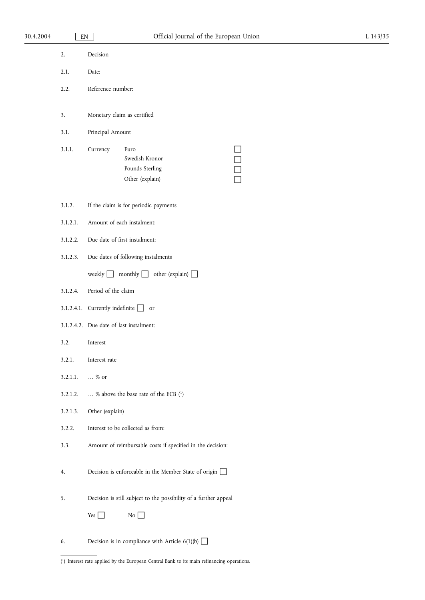| 30.4.2004 | $\mathop{\rm EN}\nolimits$ | Official Journal of the European Union                                             | L 143/35 |
|-----------|----------------------------|------------------------------------------------------------------------------------|----------|
|           | $\overline{2}$ .           | Decision                                                                           |          |
|           | 2.1.                       | Date:                                                                              |          |
|           | 2.2.                       | Reference number:                                                                  |          |
|           | 3.                         | Monetary claim as certified                                                        |          |
|           | 3.1.                       | Principal Amount                                                                   |          |
|           | 3.1.1.                     | Currency<br>Euro<br>$\Box$<br>Swedish Kronor<br>Pounds Sterling<br>Other (explain) |          |
|           | 3.1.2.                     | If the claim is for periodic payments                                              |          |
|           | 3.1.2.1.                   | Amount of each instalment:                                                         |          |
|           | 3.1.2.2.                   | Due date of first instalment:                                                      |          |
|           | 3.1.2.3.                   | Due dates of following instalments                                                 |          |
|           |                            | weekly $\Box$ monthly $\Box$<br>other (explain) $\Box$                             |          |
|           | 3.1.2.4.                   | Period of the claim                                                                |          |
|           |                            | 3.1.2.4.1. Currently indefinite or                                                 |          |
|           |                            | 3.1.2.4.2. Due date of last instalment:                                            |          |
|           | 3.2.                       | Interest                                                                           |          |
|           | 3.2.1.                     | Interest rate                                                                      |          |
|           | 3.2.1.1.                   | % or                                                                               |          |
|           | 3.2.1.2.                   | % above the base rate of the ECB $(^1)$                                            |          |
|           | 3.2.1.3.                   | Other (explain)                                                                    |          |
|           | 3.2.2.                     | Interest to be collected as from:                                                  |          |
|           | 3.3.                       | Amount of reimbursable costs if specified in the decision:                         |          |
|           | 4.                         | Decision is enforceable in the Member State of origin $\Box$                       |          |
|           | 5.                         | Decision is still subject to the possibility of a further appeal                   |          |
|           |                            | $Yes \Box$<br>No                                                                   |          |
|           | 6.                         | Decision is in compliance with Article $6(1)(b)$                                   |          |

<sup>(</sup> 1) Interest rate applied by the European Central Bank to its main refinancing operations.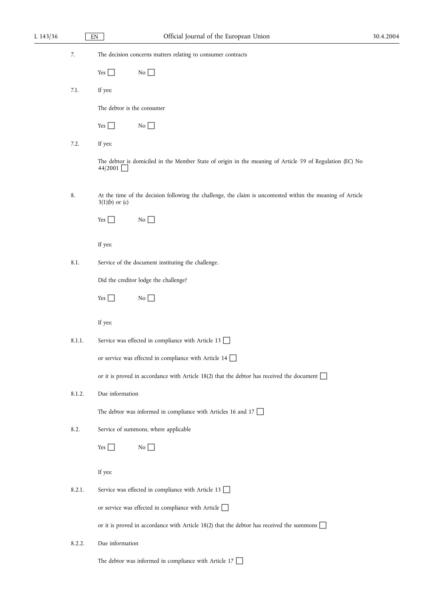| $L$ 143/36 |        | Official Journal of the European Union<br>EN                                                                                    | 30.4.2004 |  |
|------------|--------|---------------------------------------------------------------------------------------------------------------------------------|-----------|--|
|            | $7.$   | The decision concerns matters relating to consumer contracts                                                                    |           |  |
|            |        | Yes $\Box$<br>No                                                                                                                |           |  |
|            | 7.1.   | If yes:                                                                                                                         |           |  |
|            |        | The debtor is the consumer                                                                                                      |           |  |
|            |        | Yes $\Box$<br>No                                                                                                                |           |  |
|            | 7.2.   | If yes:                                                                                                                         |           |  |
|            |        | The debtor is domiciled in the Member State of origin in the meaning of Article 59 of Regulation (EC) No<br>44/2001             |           |  |
|            | 8.     | At the time of the decision following the challenge, the claim is uncontested within the meaning of Article<br>$3(1)(b)$ or (c) |           |  |
|            |        | Yes $\Box$<br>No                                                                                                                |           |  |
|            |        | If yes:                                                                                                                         |           |  |
|            | 8.1.   | Service of the document instituting the challenge.                                                                              |           |  |
|            |        | Did the creditor lodge the challenge?                                                                                           |           |  |
|            |        | Yes $\Box$<br>No                                                                                                                |           |  |
|            |        | If yes:                                                                                                                         |           |  |
|            | 8.1.1. | Service was effected in compliance with Article 13                                                                              |           |  |
|            |        | or service was effected in compliance with Article 14 $\Box$                                                                    |           |  |
|            |        | or it is proved in accordance with Article 18(2) that the debtor has received the document $\Box$                               |           |  |
|            | 8.1.2. | Due information                                                                                                                 |           |  |
|            |        | The debtor was informed in compliance with Articles 16 and 17 $\Box$                                                            |           |  |
|            | 8.2.   | Service of summons, where applicable                                                                                            |           |  |
|            |        | No<br>Yes $\Box$                                                                                                                |           |  |
|            |        | If yes:                                                                                                                         |           |  |
|            | 8.2.1. | Service was effected in compliance with Article 13                                                                              |           |  |
|            |        | or service was effected in compliance with Article D                                                                            |           |  |
|            |        | or it is proved in accordance with Article 18(2) that the debtor has received the summons $\Box$                                |           |  |
|            | 8.2.2. | Due information                                                                                                                 |           |  |
|            |        | The debtor was informed in compliance with Article 17 $\Box$                                                                    |           |  |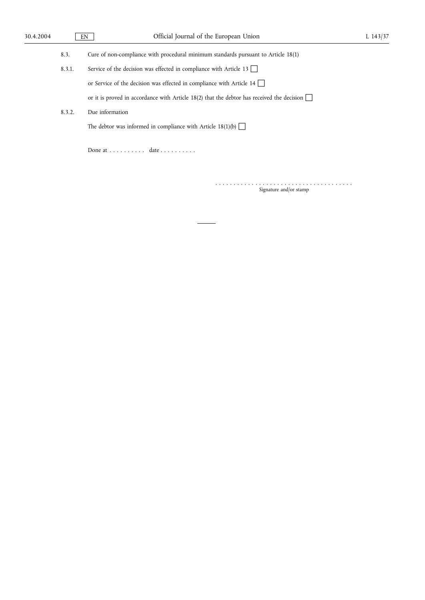| 8.3. |  |  | Cure of non-compliance with procedural minimum standards pursuant to Article 18(1) |  |  |
|------|--|--|------------------------------------------------------------------------------------|--|--|
|      |  |  |                                                                                    |  |  |

| 8.3.1. |  | Service of the decision was effected in compliance with Article 13 |  |
|--------|--|--------------------------------------------------------------------|--|
|        |  |                                                                    |  |

or Service of the decision was effected in compliance with Article 14  $\Box$ 

or it is proved in accordance with Article 18(2) that the debtor has received the decision  $\Box$ 

8.3.2. Due information

The debtor was informed in compliance with Article 18(1)(b)  $\Box$ 

Done at . . . . . . . . . . date . . . . . . . . . .

...................................... Signature and/or stamp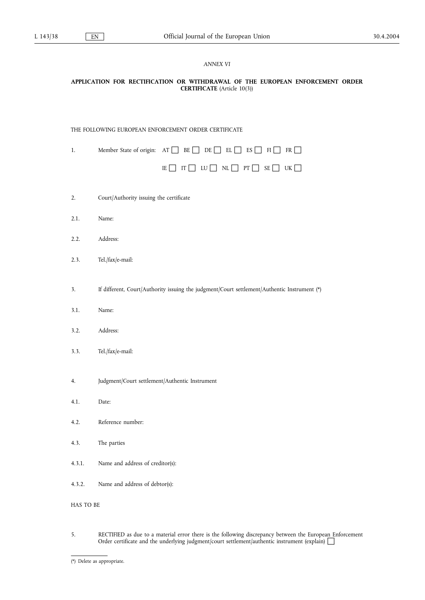## *ANNEX VI*

#### **APPLICATION FOR RECTIFICATION OR WITHDRAWAL OF THE EUROPEAN ENFORCEMENT ORDER CERTIFICATE** (Article 10(3))

THE FOLLOWING EUROPEAN ENFORCEMENT ORDER CERTIFICATE

1. Member State of origin:  $AT \Box BE \Box DE \Box EL \Box ES \Box FI \Box FR \Box$ 

|  | $E \Box T \Box LU \Box NL \Box PT \Box SE \Box UK \Box$ |  |  |
|--|---------------------------------------------------------|--|--|
|  |                                                         |  |  |

- 2. Court/Authority issuing the certificate
- 2.1. Name:
- 2.2. Address:
- 2.3. Tel./fax/e-mail:
- 3. If different, Court/Authority issuing the judgment/Court settlement/Authentic Instrument (\*)
- 3.1. Name:
- 3.2. Address:
- 3.3. Tel./fax/e-mail:
- 4. Judgment/Court settlement/Authentic Instrument
- 4.1. Date:
- 4.2. Reference number:
- 4.3. The parties
- 4.3.1. Name and address of creditor(s):
- 4.3.2. Name and address of debtor(s):

## HAS TO BE

5. RECTIFIED as due to a material error there is the following discrepancy between the European Enforcement Order certificate and the underlying judgment/court settlement/authentic instrument (explain)  $\Box$ 

<sup>(\*)</sup> Delete as appropriate.